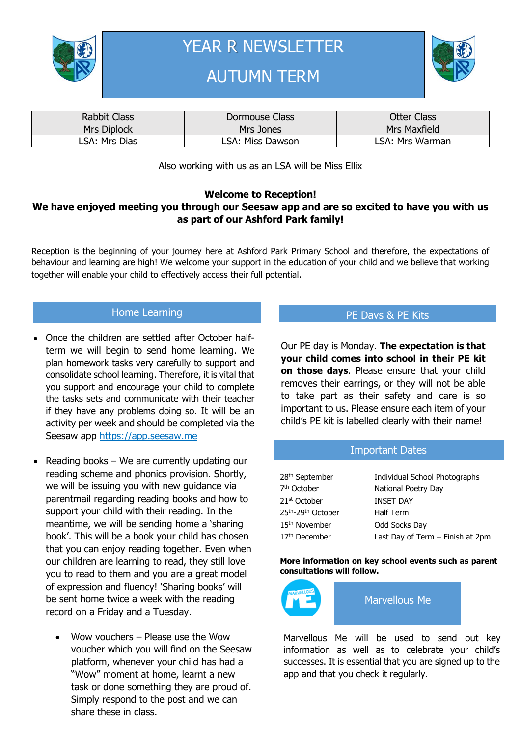

YEAR R NEWSLETTER

# AUTUMN TERM



| <b>Rabbit Class</b> | Dormouse Class   | Otter Class         |  |
|---------------------|------------------|---------------------|--|
| Mrs Diplock         | Mrs Jones        | <b>Mrs Maxfield</b> |  |
| LSA: Mrs Dias       | LSA: Miss Dawson | LSA: Mrs Warman     |  |

Also working with us as an LSA will be Miss Ellix

### **Welcome to Reception! We have enjoyed meeting you through our Seesaw app and are so excited to have you with us as part of our Ashford Park family!**

Reception is the beginning of your journey here at Ashford Park Primary School and therefore, the expectations of behaviour and learning are high! We welcome your support in the education of your child and we believe that working together will enable your child to effectively access their full potential.

## Home Learning

- Once the children are settled after October halfterm we will begin to send home learning. We plan homework tasks very carefully to support and consolidate school learning. Therefore, it is vital that you support and encourage your child to complete the tasks sets and communicate with their teacher if they have any problems doing so. It will be an activity per week and should be completed via the Seesaw app https://app.seesaw.me
- Reading books  $-$  We are currently updating our reading scheme and phonics provision. Shortly, we will be issuing you with new guidance via parentmail regarding reading books and how to support your child with their reading. In the meantime, we will be sending home a 'sharing book'. This will be a book your child has chosen that you can enjoy reading together. Even when our children are learning to read, they still love you to read to them and you are a great model of expression and fluency! 'Sharing books' will be sent home twice a week with the reading record on a Friday and a Tuesday.
	- Wow vouchers Please use the Wow voucher which you will find on the Seesaw platform, whenever your child has had a "Wow" moment at home, learnt a new task or done something they are proud of. Simply respond to the post and we can share these in class.

## PE Davs & PE Kits

Our PE day is Monday. **The expectation is that your child comes into school in their PE kit on those days**. Please ensure that your child removes their earrings, or they will not be able to take part as their safety and care is so important to us. Please ensure each item of your child's PE kit is labelled clearly with their name!

#### Important Dates

| 28 <sup>th</sup> September | Individual School Photographs    |
|----------------------------|----------------------------------|
| 7 <sup>th</sup> October    | National Poetry Day              |
| 21 <sup>st</sup> October   | <b>INSET DAY</b>                 |
| 25th-29th October          | <b>Half Term</b>                 |
| 15 <sup>th</sup> November  | Odd Socks Day                    |
| 17 <sup>th</sup> December  | Last Day of Term - Finish at 2pm |

#### **More information on key school events such as parent consultations will follow.**



Marvellous Me will be used to send out key information as well as to celebrate your child's successes. It is essential that you are signed up to the app and that you check it regularly.